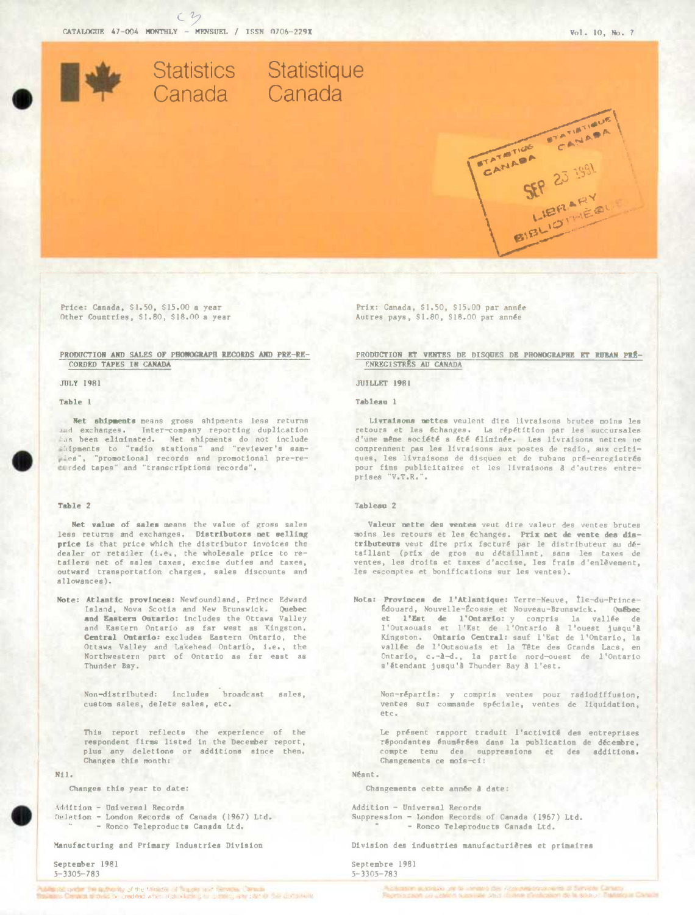

Price: Canada, \$1.50, \$15.00 a year Other Countries, \$1.80, \$18.00 a year

# PRODUCTION AND SALES OF PHONOGRAPH RECORDS AND PRE-RE-CORDED TAPES IN CANADA

ЛЛ. Т 1981

Table 1

Net shipments means gross shipments less returns and exchanges. Inter-company reporting duplication has been eliminated. Net shipments do not include slifpments to "radio stations" and "reviewer's samwies", "promotional records and promotional pre-recorded tapes" and "transcriptions records".

#### Table 2

Net value of sales means the value of gross sales less returns and exchanges. Distributors net selling price is that price which the distributor invoices the dealer or retailer (i.e., the wholesale price to retailers net of sales taxes, excise duties and taxes, outward transportation charges, sales discounts and allowances).

Note: Atlantic provinces: Newfoundland, Prince Edward Island, Nova Scotia and New Brunswick. Ouebec and Eastern Ontario: includes the Ottawa Valley and Eastern Ontario as far west as Kingston. Central Ontario: excludes Eastern Ontario, the Ottawa Valley and Lakehead Ontario, i.e., the Northwestern part of Ontario as far east as Thunder Bay.

> Non-distributed: includes broadcast sales, custom sales, delete sales, etc.

This report reflects the experience of the respondent firms listed in the December report, plus any deletions or additions since then. Changes this month:

 $N11.$ 

Changes this year to date:

Addition - Universal Records Deletion - London Records of Canada (1967) Ltd. - Ronco Teleproducts Canada Ltd.

Manufacturing and Primary Industries Division

September 1981  $5 - 3305 - 783$ 

estign on the authority of the Minister of Supply and be super Central they are there are a married

Prix: Canada, \$1.50, \$15.00 par année Autres pays, \$1.80, \$18.00 par année

## PRODUCTION ET VENTES DE DISQUES DE PHONOGRAPHE ET RUBAN PRÉ-ENREGISTRES AU CANADA

#### **JUILLET 1981**

Tablesn 1

Livraisons mettes veulent dire livraisons brutes moins les retours et les échanges. La répétition par les succursales d'une même société a été éliminée. Les livraisons nettes ne comprennent pas les livraisons aux postes de radio, aux critiques, les livraisons de disques et de rubans pré-enregistrés pour fins publicitaires et les livraisons à d'autres entreprises "V.T.R.".

## Tablean<sub>2</sub>

Valeur mette des ventes veut dire valeur des ventes brutes moins les retours et les échanges. Prix met de vente des distributeurs veut dire prix facturé par le distributeur au détaillant (prix de gros au détaillant, sans les taxes de ventes, les droits et taxes d'accise, les frais d'enlèvement, les escomptes et bonifications sur les ventes).

Nota: Provinces de l'Atlantique: Terre-Neuve, Île-du-Prince-Édouard, Nouvelle-Écosse et Nouveau-Brunswick. Québec et l'Est de l'Ontario: y compris la vallée de<br>l'Outaouais et l'Est de l'Ontario à l'ouest jusqu'à Kingston. Ontario Central: sauf l'Est de l'Ontario, la vallée de l'Outaouais et la Tête des Grands Lacs, en Ontario, c.-à-d., la partie nord-ouest de l'Ontario s'étendant jusqu'à Thunder Bay à l'est.

Non-répartis: y compris ventes pour radiodiffusion, ventes sur commande spéciale, ventes de liquidation, etc.

Le présent rapport traduit l'activité des entreprises répondantes énumérées dans la publication de décembre. compte tenu des suppressions et des additions. Changements ce mois-ci:

Néant.

Changements cette année à date:

Addition - Universal Records Suppression - London Records of Canada (1967) Ltd. - Ronco Teleproducts Canada Ltd.

Division des industries manufacturières et primaires

Septembre 1981  $5 - 3305 - 783$